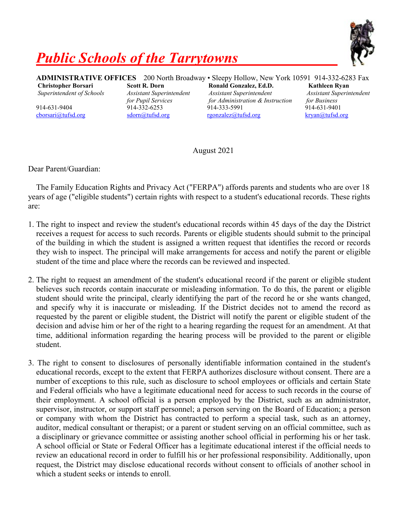

## *Public Schools of the Tarrytowns*

**ADMINISTRATIVE OFFICES** 200 North Broadway • Sleepy Hollow, New York 10591 914-332-6283 Fax **Christopher Borsari Scott R. Dorn Ronald Gonzalez, Ed.D. Kathleen Ryan** *Superintendent of Schools Assistant Superintendent Assistant Superintendent Assistant Superintendent for Pupil Services for Administration & Instruction for Business* 914-631-9404 914-332-6253 914-333-5991 914-631-9401 [cborsari@tufsd.org](mailto:cborsari@tufsd.org) [sdorn@tufsd.org](mailto:sdorn@tufsd.org) [rgonzalez@tufsd.org](mailto:rgonzalez@tufsd.org) [kryan@tufsd.org](mailto:kryan@tufsd.org)

August 2021

Dear Parent/Guardian:

The Family Education Rights and Privacy Act ("FERPA") affords parents and students who are over 18 years of age ("eligible students") certain rights with respect to a student's educational records. These rights are:

- 1. The right to inspect and review the student's educational records within 45 days of the day the District receives a request for access to such records. Parents or eligible students should submit to the principal of the building in which the student is assigned a written request that identifies the record or records they wish to inspect. The principal will make arrangements for access and notify the parent or eligible student of the time and place where the records can be reviewed and inspected.
- 2. The right to request an amendment of the student's educational record if the parent or eligible student believes such records contain inaccurate or misleading information. To do this, the parent or eligible student should write the principal, clearly identifying the part of the record he or she wants changed, and specify why it is inaccurate or misleading. If the District decides not to amend the record as requested by the parent or eligible student, the District will notify the parent or eligible student of the decision and advise him or her of the right to a hearing regarding the request for an amendment. At that time, additional information regarding the hearing process will be provided to the parent or eligible student.
- 3. The right to consent to disclosures of personally identifiable information contained in the student's educational records, except to the extent that FERPA authorizes disclosure without consent. There are a number of exceptions to this rule, such as disclosure to school employees or officials and certain State and Federal officials who have a legitimate educational need for access to such records in the course of their employment. A school official is a person employed by the District, such as an administrator, supervisor, instructor, or support staff personnel; a person serving on the Board of Education; a person or company with whom the District has contracted to perform a special task, such as an attorney, auditor, medical consultant or therapist; or a parent or student serving on an official committee, such as a disciplinary or grievance committee or assisting another school official in performing his or her task. A school official or State or Federal Officer has a legitimate educational interest if the official needs to review an educational record in order to fulfill his or her professional responsibility. Additionally, upon request, the District may disclose educational records without consent to officials of another school in which a student seeks or intends to enroll.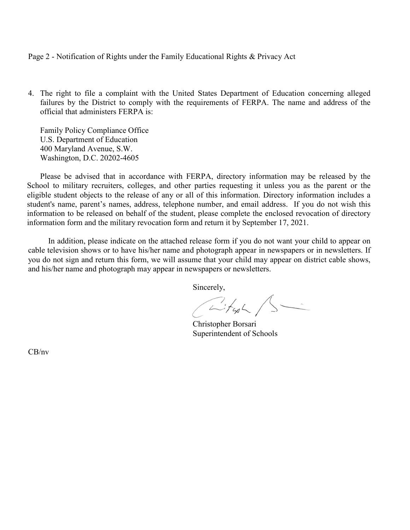## Page 2 - Notification of Rights under the Family Educational Rights & Privacy Act

4. The right to file a complaint with the United States Department of Education concerning alleged failures by the District to comply with the requirements of FERPA. The name and address of the official that administers FERPA is:

Family Policy Compliance Office U.S. Department of Education 400 Maryland Avenue, S.W. Washington, D.C. 20202-4605

Please be advised that in accordance with FERPA, directory information may be released by the School to military recruiters, colleges, and other parties requesting it unless you as the parent or the eligible student objects to the release of any or all of this information. Directory information includes a student's name, parent's names, address, telephone number, and email address. If you do not wish this information to be released on behalf of the student, please complete the enclosed revocation of directory information form and the military revocation form and return it by September 17, 2021.

In addition, please indicate on the attached release form if you do not want your child to appear on cable television shows or to have his/her name and photograph appear in newspapers or in newsletters. If you do not sign and return this form, we will assume that your child may appear on district cable shows, and his/her name and photograph may appear in newspapers or newsletters.

Sincerely,

Citype /S

 Christopher Borsari Superintendent of Schools

CB/nv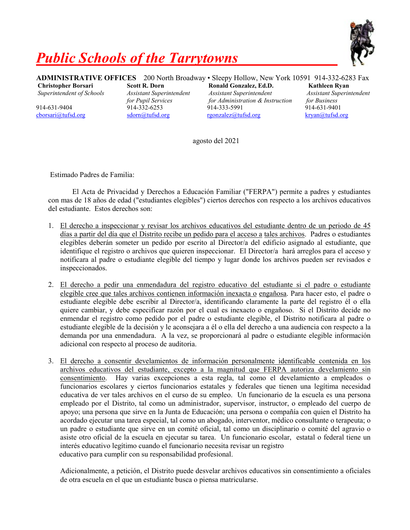

## *Public Schools of the Tarrytowns*

**ADMINISTRATIVE OFFICES** 200 North Broadway • Sleepy Hollow, New York 10591 914-332-6283 Fax **Christopher Borsari Scott R. Dorn Ronald Gonzalez, Ed.D. Kathleen Ryan** *Superintendent of Schools Assistant Superintendent Assistant Superintendent Assistant Superintendent for Pupil Services for Administration & Instruction for Business* 914-631-9404 914-332-6253 914-333-5991 914-631-9401

[cborsari@tufsd.org](mailto:cborsari@tufsd.org) [sdorn@tufsd.org](mailto:sdorn@tufsd.org) [rgonzalez@tufsd.org](mailto:rgonzalez@tufsd.org) [kryan@tufsd.org](mailto:kryan@tufsd.org)

agosto del 2021

Estimado Padres de Familia:

El Acta de Privacidad y Derechos a Educación Familiar ("FERPA") permite a padres y estudiantes con mas de 18 años de edad ("estudiantes elegibles") ciertos derechos con respecto a los archivos educativos del estudiante. Estos derechos son:

- 1. El derecho a inspeccionar y revisar los archivos educativos del estudiante dentro de un periodo de 45 días a partir del día que el Distrito recibe un pedido para el acceso a tales archivos. Padres o estudiantes elegibles deberán someter un pedido por escrito al Director/a del edificio asignado al estudiante, que identifique el registro o archivos que quieren inspeccionar. El Director/a hará arreglos para el acceso y notificara al padre o estudiante elegible del tiempo y lugar donde los archivos pueden ser revisados e inspeccionados.
- 2. El derecho a pedir una enmendadura del registro educativo del estudiante si el padre o estudiante elegible cree que tales archivos contienen información inexacta o engañosa. Para hacer esto, el padre o estudiante elegible debe escribir al Director/a, identificando claramente la parte del registro él o ella quiere cambiar, y debe especificar razón por el cual es inexacto o engañoso. Si el Distrito decide no enmendar el registro como pedido por el padre o estudiante elegible, el Distrito notificara al padre o estudiante elegible de la decisión y le aconsejara a él o ella del derecho a una audiencia con respecto a la demanda por una enmendadura. A la vez, se proporcionará al padre o estudiante elegible información adicional con respecto al proceso de auditoria.
- 3. El derecho a consentir develamientos de información personalmente identificable contenida en los archivos educativos del estudiante, excepto a la magnitud que FERPA autoriza develamiento sin consentimiento. Hay varias excepciones a esta regla, tal como el develamiento a empleados o funcionarios escolares y ciertos funcionarios estatales y federales que tienen una legítima necesidad educativa de ver tales archivos en el curso de su empleo. Un funcionario de la escuela es una persona empleado por el Distrito, tal como un administrador, supervisor, instructor, o empleado del cuerpo de apoyo; una persona que sirve en la Junta de Educación; una persona o compañía con quien el Distrito ha acordado ejecutar una tarea especial, tal como un abogado, interventor, médico consultante o terapeuta; o un padre o estudiante que sirve en un comité oficial, tal como un disciplinario o comité del agravio o asiste otro oficial de la escuela en ejecutar su tarea. Un funcionario escolar, estatal o federal tiene un interés educativo legítimo cuando el funcionario necesita revisar un registro educativo para cumplir con su responsabilidad profesional.

Adicionalmente, a petición, el Distrito puede desvelar archivos educativos sin consentimiento a oficiales de otra escuela en el que un estudiante busca o piensa matricularse.